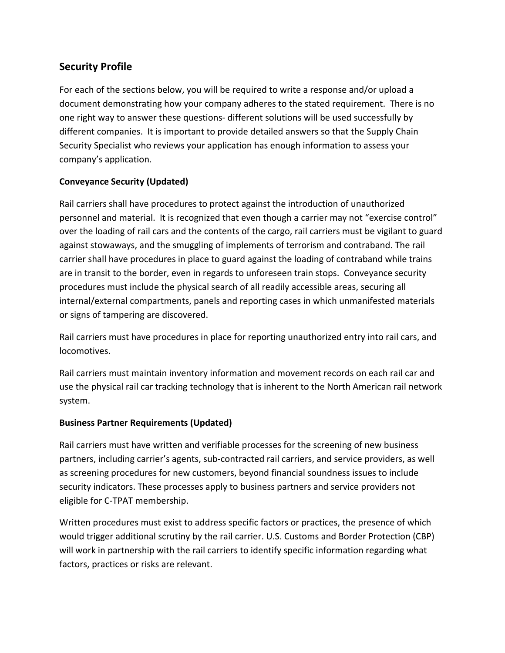# **Security Profile**

For each of the sections below, you will be required to write a response and/or upload a document demonstrating how your company adheres to the stated requirement. There is no one right way to answer these questions‐ different solutions will be used successfully by different companies. It is important to provide detailed answers so that the Supply Chain Security Specialist who reviews your application has enough information to assess your company's application.

## **Conveyance Security (Updated)**

Rail carriers shall have procedures to protect against the introduction of unauthorized personnel and material. It is recognized that even though a carrier may not "exercise control" over the loading of rail cars and the contents of the cargo, rail carriers must be vigilant to guard against stowaways, and the smuggling of implements of terrorism and contraband. The rail carrier shall have procedures in place to guard against the loading of contraband while trains are in transit to the border, even in regards to unforeseen train stops. Conveyance security procedures must include the physical search of all readily accessible areas, securing all internal/external compartments, panels and reporting cases in which unmanifested materials or signs of tampering are discovered.

Rail carriers must have procedures in place for reporting unauthorized entry into rail cars, and locomotives.

Rail carriers must maintain inventory information and movement records on each rail car and use the physical rail car tracking technology that is inherent to the North American rail network system.

## **Business Partner Requirements (Updated)**

Rail carriers must have written and verifiable processes for the screening of new business partners, including carrier's agents, sub‐contracted rail carriers, and service providers, as well as screening procedures for new customers, beyond financial soundness issues to include security indicators. These processes apply to business partners and service providers not eligible for C‐TPAT membership.

Written procedures must exist to address specific factors or practices, the presence of which would trigger additional scrutiny by the rail carrier. U.S. Customs and Border Protection (CBP) will work in partnership with the rail carriers to identify specific information regarding what factors, practices or risks are relevant.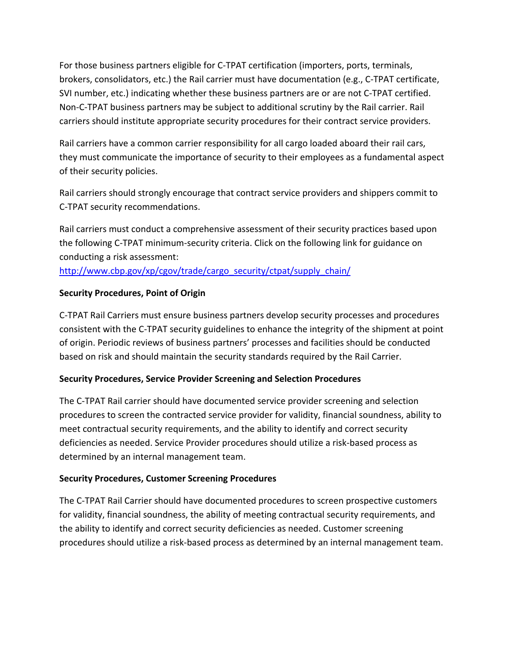For those business partners eligible for C-TPAT certification (importers, ports, terminals, brokers, consolidators, etc.) the Rail carrier must have documentation (e.g., C‐TPAT certificate, SVI number, etc.) indicating whether these business partners are or are not C‐TPAT certified. Non-C-TPAT business partners may be subject to additional scrutiny by the Rail carrier. Rail carriers should institute appropriate security procedures for their contract service providers.

Rail carriers have a common carrier responsibility for all cargo loaded aboard their rail cars, they must communicate the importance of security to their employees as a fundamental aspect of their security policies.

Rail carriers should strongly encourage that contract service providers and shippers commit to C‐TPAT security recommendations.

Rail carriers must conduct a comprehensive assessment of their security practices based upon the following C‐TPAT minimum‐security criteria. Click on the following link for guidance on conducting a risk assessment:

http://www.cbp.gov/xp/cgov/trade/cargo\_security/ctpat/supply\_chain/

## **Security Procedures, Point of Origin**

C‐TPAT Rail Carriers must ensure business partners develop security processes and procedures consistent with the C‐TPAT security guidelines to enhance the integrity of the shipment at point of origin. Periodic reviews of business partners' processes and facilities should be conducted based on risk and should maintain the security standards required by the Rail Carrier.

## **Security Procedures, Service Provider Screening and Selection Procedures**

The C‐TPAT Rail carrier should have documented service provider screening and selection procedures to screen the contracted service provider for validity, financial soundness, ability to meet contractual security requirements, and the ability to identify and correct security deficiencies as needed. Service Provider procedures should utilize a risk‐based process as determined by an internal management team.

## **Security Procedures, Customer Screening Procedures**

The C‐TPAT Rail Carrier should have documented procedures to screen prospective customers for validity, financial soundness, the ability of meeting contractual security requirements, and the ability to identify and correct security deficiencies as needed. Customer screening procedures should utilize a risk‐based process as determined by an internal management team.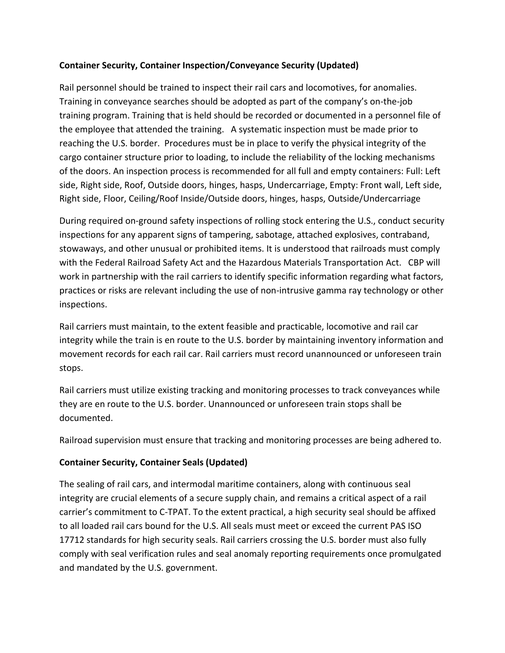## **Container Security, Container Inspection/Conveyance Security (Updated)**

Rail personnel should be trained to inspect their rail cars and locomotives, for anomalies. Training in conveyance searches should be adopted as part of the company's on‐the‐job training program. Training that is held should be recorded or documented in a personnel file of the employee that attended the training. A systematic inspection must be made prior to reaching the U.S. border. Procedures must be in place to verify the physical integrity of the cargo container structure prior to loading, to include the reliability of the locking mechanisms of the doors. An inspection process is recommended for all full and empty containers: Full: Left side, Right side, Roof, Outside doors, hinges, hasps, Undercarriage, Empty: Front wall, Left side, Right side, Floor, Ceiling/Roof Inside/Outside doors, hinges, hasps, Outside/Undercarriage

During required on‐ground safety inspections of rolling stock entering the U.S., conduct security inspections for any apparent signs of tampering, sabotage, attached explosives, contraband, stowaways, and other unusual or prohibited items. It is understood that railroads must comply with the Federal Railroad Safety Act and the Hazardous Materials Transportation Act. CBP will work in partnership with the rail carriers to identify specific information regarding what factors, practices or risks are relevant including the use of non‐intrusive gamma ray technology or other inspections.

Rail carriers must maintain, to the extent feasible and practicable, locomotive and rail car integrity while the train is en route to the U.S. border by maintaining inventory information and movement records for each rail car. Rail carriers must record unannounced or unforeseen train stops.

Rail carriers must utilize existing tracking and monitoring processes to track conveyances while they are en route to the U.S. border. Unannounced or unforeseen train stops shall be documented.

Railroad supervision must ensure that tracking and monitoring processes are being adhered to.

## **Container Security, Container Seals (Updated)**

The sealing of rail cars, and intermodal maritime containers, along with continuous seal integrity are crucial elements of a secure supply chain, and remains a critical aspect of a rail carrier's commitment to C‐TPAT. To the extent practical, a high security seal should be affixed to all loaded rail cars bound for the U.S. All seals must meet or exceed the current PAS ISO 17712 standards for high security seals. Rail carriers crossing the U.S. border must also fully comply with seal verification rules and seal anomaly reporting requirements once promulgated and mandated by the U.S. government.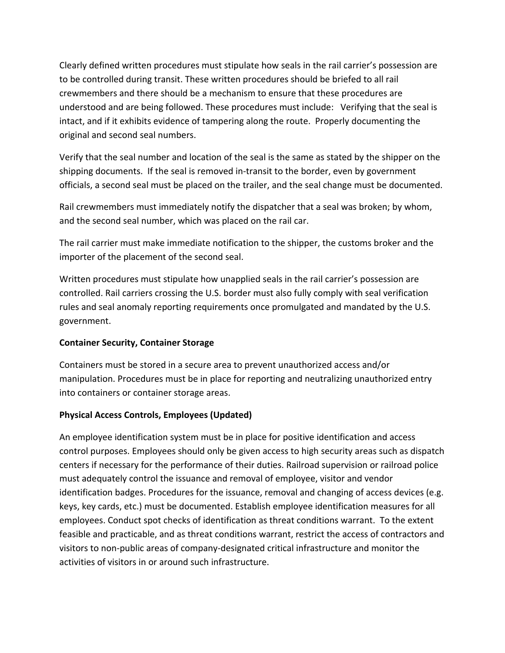Clearly defined written procedures must stipulate how seals in the rail carrier's possession are to be controlled during transit. These written procedures should be briefed to all rail crewmembers and there should be a mechanism to ensure that these procedures are understood and are being followed. These procedures must include: Verifying that the seal is intact, and if it exhibits evidence of tampering along the route. Properly documenting the original and second seal numbers.

Verify that the seal number and location of the seal is the same as stated by the shipper on the shipping documents. If the seal is removed in‐transit to the border, even by government officials, a second seal must be placed on the trailer, and the seal change must be documented.

Rail crewmembers must immediately notify the dispatcher that a seal was broken; by whom, and the second seal number, which was placed on the rail car.

The rail carrier must make immediate notification to the shipper, the customs broker and the importer of the placement of the second seal.

Written procedures must stipulate how unapplied seals in the rail carrier's possession are controlled. Rail carriers crossing the U.S. border must also fully comply with seal verification rules and seal anomaly reporting requirements once promulgated and mandated by the U.S. government.

## **Container Security, Container Storage**

Containers must be stored in a secure area to prevent unauthorized access and/or manipulation. Procedures must be in place for reporting and neutralizing unauthorized entry into containers or container storage areas.

## **Physical Access Controls, Employees (Updated)**

An employee identification system must be in place for positive identification and access control purposes. Employees should only be given access to high security areas such as dispatch centers if necessary for the performance of their duties. Railroad supervision or railroad police must adequately control the issuance and removal of employee, visitor and vendor identification badges. Procedures for the issuance, removal and changing of access devices (e.g. keys, key cards, etc.) must be documented. Establish employee identification measures for all employees. Conduct spot checks of identification as threat conditions warrant. To the extent feasible and practicable, and as threat conditions warrant, restrict the access of contractors and visitors to non‐public areas of company‐designated critical infrastructure and monitor the activities of visitors in or around such infrastructure.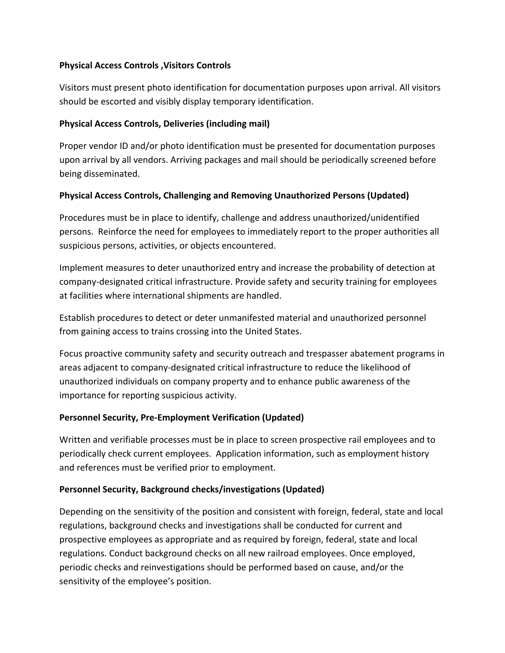#### **Physical Access Controls ,Visitors Controls**

Visitors must present photo identification for documentation purposes upon arrival. All visitors should be escorted and visibly display temporary identification.

#### **Physical Access Controls, Deliveries (including mail)**

Proper vendor ID and/or photo identification must be presented for documentation purposes upon arrival by all vendors. Arriving packages and mail should be periodically screened before being disseminated.

#### **Physical Access Controls, Challenging and Removing Unauthorized Persons (Updated)**

Procedures must be in place to identify, challenge and address unauthorized/unidentified persons. Reinforce the need for employees to immediately report to the proper authorities all suspicious persons, activities, or objects encountered.

Implement measures to deter unauthorized entry and increase the probability of detection at company‐designated critical infrastructure. Provide safety and security training for employees at facilities where international shipments are handled.

Establish procedures to detect or deter unmanifested material and unauthorized personnel from gaining access to trains crossing into the United States.

Focus proactive community safety and security outreach and trespasser abatement programs in areas adjacent to company‐designated critical infrastructure to reduce the likelihood of unauthorized individuals on company property and to enhance public awareness of the importance for reporting suspicious activity.

## **Personnel Security, Pre‐Employment Verification (Updated)**

Written and verifiable processes must be in place to screen prospective rail employees and to periodically check current employees. Application information, such as employment history and references must be verified prior to employment.

## **Personnel Security, Background checks/investigations (Updated)**

Depending on the sensitivity of the position and consistent with foreign, federal, state and local regulations, background checks and investigations shall be conducted for current and prospective employees as appropriate and as required by foreign, federal, state and local regulations. Conduct background checks on all new railroad employees. Once employed, periodic checks and reinvestigations should be performed based on cause, and/or the sensitivity of the employee's position.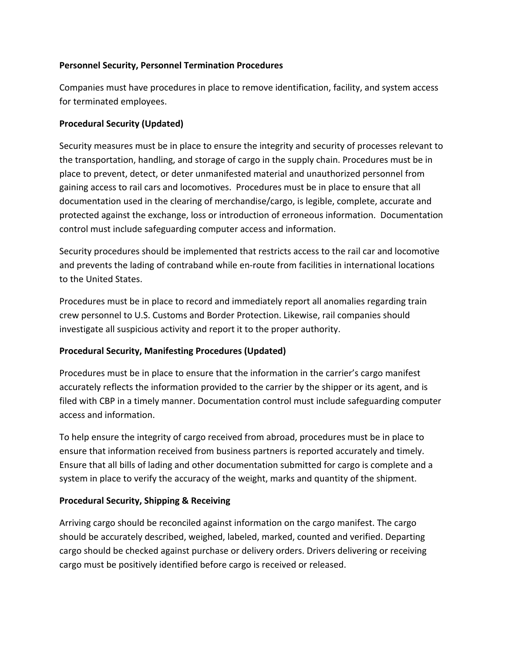## **Personnel Security, Personnel Termination Procedures**

Companies must have procedures in place to remove identification, facility, and system access for terminated employees.

#### **Procedural Security (Updated)**

Security measures must be in place to ensure the integrity and security of processes relevant to the transportation, handling, and storage of cargo in the supply chain. Procedures must be in place to prevent, detect, or deter unmanifested material and unauthorized personnel from gaining access to rail cars and locomotives. Procedures must be in place to ensure that all documentation used in the clearing of merchandise/cargo, is legible, complete, accurate and protected against the exchange, loss or introduction of erroneous information. Documentation control must include safeguarding computer access and information.

Security procedures should be implemented that restricts access to the rail car and locomotive and prevents the lading of contraband while en-route from facilities in international locations to the United States.

Procedures must be in place to record and immediately report all anomalies regarding train crew personnel to U.S. Customs and Border Protection. Likewise, rail companies should investigate all suspicious activity and report it to the proper authority.

## **Procedural Security, Manifesting Procedures (Updated)**

Procedures must be in place to ensure that the information in the carrier's cargo manifest accurately reflects the information provided to the carrier by the shipper or its agent, and is filed with CBP in a timely manner. Documentation control must include safeguarding computer access and information.

To help ensure the integrity of cargo received from abroad, procedures must be in place to ensure that information received from business partners is reported accurately and timely. Ensure that all bills of lading and other documentation submitted for cargo is complete and a system in place to verify the accuracy of the weight, marks and quantity of the shipment.

## **Procedural Security, Shipping & Receiving**

Arriving cargo should be reconciled against information on the cargo manifest. The cargo should be accurately described, weighed, labeled, marked, counted and verified. Departing cargo should be checked against purchase or delivery orders. Drivers delivering or receiving cargo must be positively identified before cargo is received or released.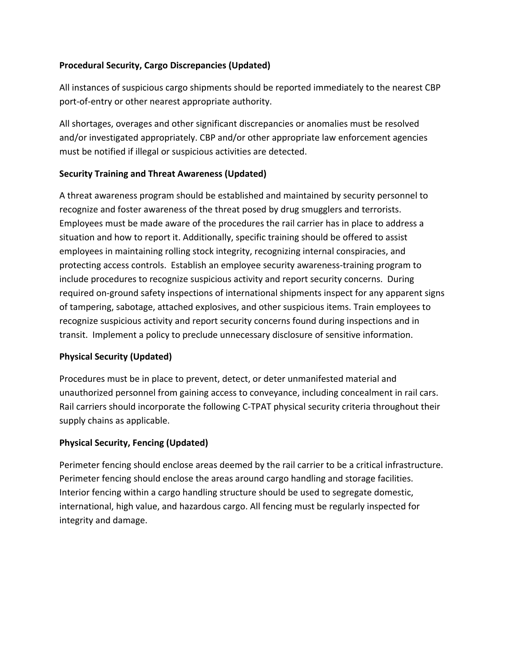## **Procedural Security, Cargo Discrepancies (Updated)**

All instances of suspicious cargo shipments should be reported immediately to the nearest CBP port‐of‐entry or other nearest appropriate authority.

All shortages, overages and other significant discrepancies or anomalies must be resolved and/or investigated appropriately. CBP and/or other appropriate law enforcement agencies must be notified if illegal or suspicious activities are detected.

## **Security Training and Threat Awareness (Updated)**

A threat awareness program should be established and maintained by security personnel to recognize and foster awareness of the threat posed by drug smugglers and terrorists. Employees must be made aware of the procedures the rail carrier has in place to address a situation and how to report it. Additionally, specific training should be offered to assist employees in maintaining rolling stock integrity, recognizing internal conspiracies, and protecting access controls. Establish an employee security awareness‐training program to include procedures to recognize suspicious activity and report security concerns. During required on‐ground safety inspections of international shipments inspect for any apparent signs of tampering, sabotage, attached explosives, and other suspicious items. Train employees to recognize suspicious activity and report security concerns found during inspections and in transit. Implement a policy to preclude unnecessary disclosure of sensitive information.

## **Physical Security (Updated)**

Procedures must be in place to prevent, detect, or deter unmanifested material and unauthorized personnel from gaining access to conveyance, including concealment in rail cars. Rail carriers should incorporate the following C-TPAT physical security criteria throughout their supply chains as applicable.

## **Physical Security, Fencing (Updated)**

Perimeter fencing should enclose areas deemed by the rail carrier to be a critical infrastructure. Perimeter fencing should enclose the areas around cargo handling and storage facilities. Interior fencing within a cargo handling structure should be used to segregate domestic, international, high value, and hazardous cargo. All fencing must be regularly inspected for integrity and damage.